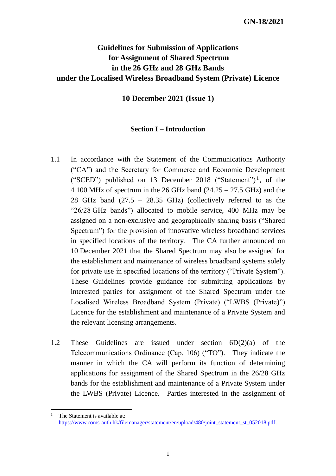# **Guidelines for Submission of Applications for Assignment of Shared Spectrum in the 26 GHz and 28 GHz Bands under the Localised Wireless Broadband System (Private) Licence**

**10 December 2021 (Issue 1)**

#### **Section I – Introduction**

- 1.1 In accordance with the Statement of the Communications Authority ("CA") and the Secretary for Commerce and Economic Development ("SCED") published on 13 December 2018 ("Statement")<sup>1</sup>, of the 4 100 MHz of spectrum in the 26 GHz band  $(24.25 - 27.5$  GHz) and the 28 GHz band (27.5 – 28.35 GHz) (collectively referred to as the "26/28 GHz bands") allocated to mobile service, 400 MHz may be assigned on a non-exclusive and geographically sharing basis ("Shared Spectrum") for the provision of innovative wireless broadband services in specified locations of the territory. The CA further announced on 10 December 2021 that the Shared Spectrum may also be assigned for the establishment and maintenance of wireless broadband systems solely for private use in specified locations of the territory ("Private System"). These Guidelines provide guidance for submitting applications by interested parties for assignment of the Shared Spectrum under the Localised Wireless Broadband System (Private) ("LWBS (Private)") Licence for the establishment and maintenance of a Private System and the relevant licensing arrangements.
- 1.2 These Guidelines are issued under section 6D(2)(a) of the Telecommunications Ordinance (Cap. 106) ("TO"). They indicate the manner in which the CA will perform its function of determining applications for assignment of the Shared Spectrum in the 26/28 GHz bands for the establishment and maintenance of a Private System under the LWBS (Private) Licence. Parties interested in the assignment of

1

<sup>&</sup>lt;sup>1</sup> The Statement is available at: [https://www.coms-auth.hk/filemanager/statement/en/upload/480/joint\\_statement\\_st\\_052018.pdf.](https://www.coms-auth.hk/filemanager/statement/en/upload/480/joint_statement_st_052018.pdf)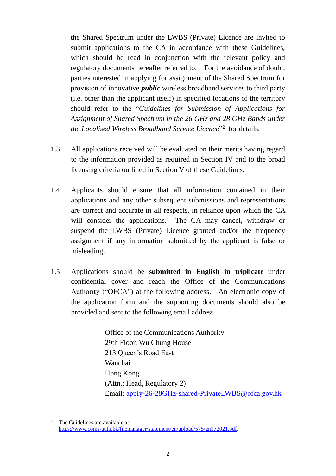the Shared Spectrum under the LWBS (Private) Licence are invited to submit applications to the CA in accordance with these Guidelines, which should be read in conjunction with the relevant policy and regulatory documents hereafter referred to. For the avoidance of doubt, parties interested in applying for assignment of the Shared Spectrum for provision of innovative *public* wireless broadband services to third party (i.e. other than the applicant itself) in specified locations of the territory should refer to the "*Guidelines for Submission of Applications for Assignment of Shared Spectrum in the 26 GHz and 28 GHz Bands under the Localised Wireless Broadband Service Licence*" 2 for details.

- 1.3 All applications received will be evaluated on their merits having regard to the information provided as required in Section IV and to the broad licensing criteria outlined in Section V of these Guidelines.
- 1.4 Applicants should ensure that all information contained in their applications and any other subsequent submissions and representations are correct and accurate in all respects, in reliance upon which the CA will consider the applications. The CA may cancel, withdraw or suspend the LWBS (Private) Licence granted and/or the frequency assignment if any information submitted by the applicant is false or misleading.
- 1.5 Applications should be **submitted in English in triplicate** under confidential cover and reach the Office of the Communications Authority ("OFCA") at the following address. An electronic copy of the application form and the supporting documents should also be provided and sent to the following email address –

Office of the Communications Authority 29th Floor, Wu Chung House 213 Queen's Road East Wanchai Hong Kong (Attn.: Head, Regulatory 2) Email: apply-26-28GHz-shared-PrivateLWBS@ofca.gov.hk

 $\overline{c}$ The Guidelines are available at: [https://www.coms-auth.hk/filemanager/statement/en/upload/575/gn172021.pdf.](https://www.coms-auth.hk/filemanager/statement/en/upload/575/gn172021.pdf)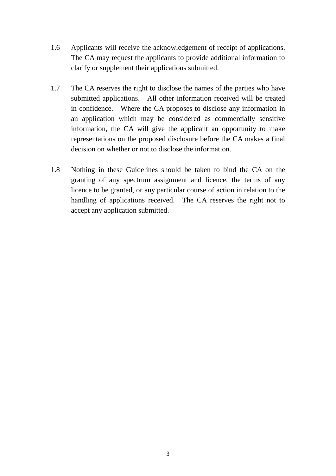- 1.6 Applicants will receive the acknowledgement of receipt of applications. The CA may request the applicants to provide additional information to clarify or supplement their applications submitted.
- 1.7 The CA reserves the right to disclose the names of the parties who have submitted applications. All other information received will be treated in confidence. Where the CA proposes to disclose any information in an application which may be considered as commercially sensitive information, the CA will give the applicant an opportunity to make representations on the proposed disclosure before the CA makes a final decision on whether or not to disclose the information.
- 1.8 Nothing in these Guidelines should be taken to bind the CA on the granting of any spectrum assignment and licence, the terms of any licence to be granted, or any particular course of action in relation to the handling of applications received. The CA reserves the right not to accept any application submitted.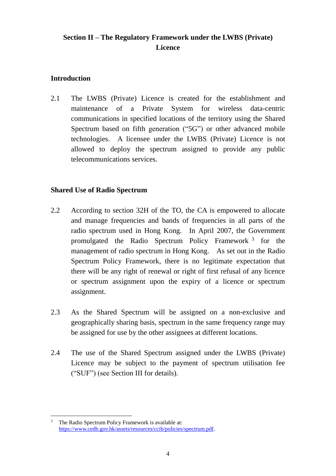# **Section II – The Regulatory Framework under the LWBS (Private) Licence**

## **Introduction**

2.1 The LWBS (Private) Licence is created for the establishment and maintenance of a Private System for wireless data-centric communications in specified locations of the territory using the Shared Spectrum based on fifth generation ("5G") or other advanced mobile technologies. A licensee under the LWBS (Private) Licence is not allowed to deploy the spectrum assigned to provide any public telecommunications services.

## **Shared Use of Radio Spectrum**

- 2.2 According to section 32H of the TO, the CA is empowered to allocate and manage frequencies and bands of frequencies in all parts of the radio spectrum used in Hong Kong. In April 2007, the Government promulgated the Radio Spectrum Policy Framework<sup>3</sup> for the management of radio spectrum in Hong Kong. As set out in the Radio Spectrum Policy Framework, there is no legitimate expectation that there will be any right of renewal or right of first refusal of any licence or spectrum assignment upon the expiry of a licence or spectrum assignment.
- 2.3 As the Shared Spectrum will be assigned on a non-exclusive and geographically sharing basis, spectrum in the same frequency range may be assigned for use by the other assignees at different locations.
- 2.4 The use of the Shared Spectrum assigned under the LWBS (Private) Licence may be subject to the payment of spectrum utilisation fee ("SUF") (see Section III for details).

<sup>1</sup> <sup>3</sup> The Radio Spectrum Policy Framework is available at: [https://www.cedb.gov.hk/assets/resources/ccib/policies/spectrum.pdf.](https://www.cedb.gov.hk/assets/resources/ccib/policies/spectrum.pdf)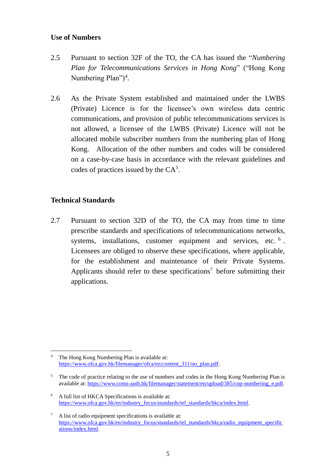#### **Use of Numbers**

- 2.5 Pursuant to section 32F of the TO, the CA has issued the "*Numbering Plan for Telecommunications Services in Hong Kong*" ("Hong Kong Numbering Plan")<sup>4</sup>.
- 2.6 As the Private System established and maintained under the LWBS (Private) Licence is for the licensee's own wireless data centric communications, and provision of public telecommunications services is not allowed, a licensee of the LWBS (Private) Licence will not be allocated mobile subscriber numbers from the numbering plan of Hong Kong. Allocation of the other numbers and codes will be considered on a case-by-case basis in accordance with the relevant guidelines and codes of practices issued by the  $CA<sup>5</sup>$ .

### **Technical Standards**

2.7 Pursuant to section 32D of the TO, the CA may from time to time prescribe standards and specifications of telecommunications networks, systems, installations, customer equipment and services, etc. <sup>6</sup>. Licensees are obliged to observe these specifications, where applicable, for the establishment and maintenance of their Private Systems. Applicants should refer to these specifications<sup>7</sup> before submitting their applications.

<sup>1</sup> <sup>4</sup> The Hong Kong Numbering Plan is available at: [https://www.ofca.gov.hk/filemanager/ofca/en/content\\_311/no\\_plan.pdf.](https://www.ofca.gov.hk/filemanager/ofca/en/content_311/no_plan.pdf)

<sup>&</sup>lt;sup>5</sup> The code of practice relating to the use of numbers and codes in the Hong Kong Numbering Plan is available at: [https://www.coms-auth.hk/filemanager/statement/en/upload/385/cop-numbering\\_e.pdf.](https://www.coms-auth.hk/filemanager/statement/en/upload/385/cop-numbering_e.pdf)

<sup>6</sup> A full list of HKCA Specifications is available at: [https://www.ofca.gov.hk/en/industry\\_focus/standards/tel\\_standards/hkca/index.html.](https://www.ofca.gov.hk/en/industry_focus/standards/tel_standards/hkca/index.html)

<sup>7</sup> A list of radio equipment specifications is available at: [https://www.ofca.gov.hk/en/industry\\_focus/standards/tel\\_standards/hkca/radio\\_equipment\\_specific](https://www.ofca.gov.hk/en/industry_focus/standards/tel_standards/hkca/radio_equipment_specifications/index.html) [ations/index.html.](https://www.ofca.gov.hk/en/industry_focus/standards/tel_standards/hkca/radio_equipment_specifications/index.html)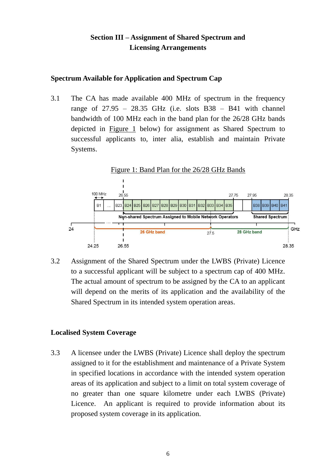## **Section III – Assignment of Shared Spectrum and Licensing Arrangements**

### **Spectrum Available for Application and Spectrum Cap**

3.1 The CA has made available 400 MHz of spectrum in the frequency range of  $27.95 - 28.35$  GHz (i.e. slots  $B38 - B41$  with channel bandwidth of 100 MHz each in the band plan for the 26/28 GHz bands depicted in Figure 1 below) for assignment as Shared Spectrum to successful applicants to, inter alia, establish and maintain Private Systems.



3.2 Assignment of the Shared Spectrum under the LWBS (Private) Licence to a successful applicant will be subject to a spectrum cap of 400 MHz. The actual amount of spectrum to be assigned by the CA to an applicant will depend on the merits of its application and the availability of the Shared Spectrum in its intended system operation areas.

### **Localised System Coverage**

3.3 A licensee under the LWBS (Private) Licence shall deploy the spectrum assigned to it for the establishment and maintenance of a Private System in specified locations in accordance with the intended system operation areas of its application and subject to a limit on total system coverage of no greater than one square kilometre under each LWBS (Private) Licence. An applicant is required to provide information about its proposed system coverage in its application.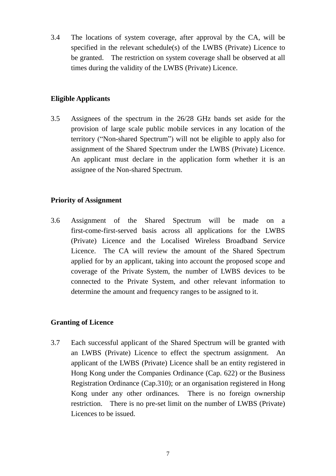3.4 The locations of system coverage, after approval by the CA, will be specified in the relevant schedule(s) of the LWBS (Private) Licence to be granted. The restriction on system coverage shall be observed at all times during the validity of the LWBS (Private) Licence.

## **Eligible Applicants**

3.5 Assignees of the spectrum in the 26/28 GHz bands set aside for the provision of large scale public mobile services in any location of the territory ("Non-shared Spectrum") will not be eligible to apply also for assignment of the Shared Spectrum under the LWBS (Private) Licence. An applicant must declare in the application form whether it is an assignee of the Non-shared Spectrum.

### **Priority of Assignment**

3.6 Assignment of the Shared Spectrum will be made on a first-come-first-served basis across all applications for the LWBS (Private) Licence and the Localised Wireless Broadband Service Licence. The CA will review the amount of the Shared Spectrum applied for by an applicant, taking into account the proposed scope and coverage of the Private System, the number of LWBS devices to be connected to the Private System, and other relevant information to determine the amount and frequency ranges to be assigned to it.

### **Granting of Licence**

3.7 Each successful applicant of the Shared Spectrum will be granted with an LWBS (Private) Licence to effect the spectrum assignment. An applicant of the LWBS (Private) Licence shall be an entity registered in Hong Kong under the Companies Ordinance (Cap. 622) or the Business Registration Ordinance (Cap.310); or an organisation registered in Hong Kong under any other ordinances*.* There is no foreign ownership restriction. There is no pre-set limit on the number of LWBS (Private) Licences to be issued.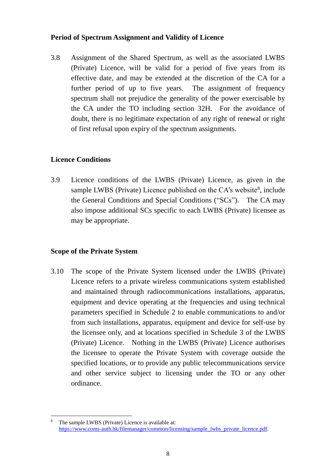#### **Period of Spectrum Assignment and Validity of Licence**

3.8 Assignment of the Shared Spectrum, as well as the associated LWBS (Private) Licence, will be valid for a period of five years from its effective date, and may be extended at the discretion of the CA for a further period of up to five years. The assignment of frequency spectrum shall not prejudice the generality of the power exercisable by the CA under the TO including section 32H. For the avoidance of doubt, there is no legitimate expectation of any right of renewal or right of first refusal upon expiry of the spectrum assignments.

### **Licence Conditions**

3.9 Licence conditions of the LWBS (Private) Licence, as given in the sample LWBS (Private) Licence published on the CA's website<sup>8</sup>, include the General Conditions and Special Conditions ("SCs"). The CA may also impose additional SCs specific to each LWBS (Private) licensee as may be appropriate.

### **Scope of the Private System**

3.10 The scope of the Private System licensed under the LWBS (Private) Licence refers to a private wireless communications system established and maintained through radiocommunications installations, apparatus, equipment and device operating at the frequencies and using technical parameters specified in Schedule 2 to enable communications to and/or from such installations, apparatus, equipment and device for self-use by the licensee only, and at locations specified in Schedule 3 of the LWBS (Private) Licence. Nothing in the LWBS (Private) Licence authorises the licensee to operate the Private System with coverage outside the specified locations, or to provide any public telecommunications service and other service subject to licensing under the TO or any other ordinance.

<sup>1</sup> <sup>8</sup> The sample LWBS (Private) Licence is available at: [https://www.coms-auth.hk/filemanager/common/licensing/sample\\_lwbs\\_private\\_licence.pdf.](https://www.coms-auth.hk/filemanager/common/licensing/sample_lwbs_private_licence.pdf)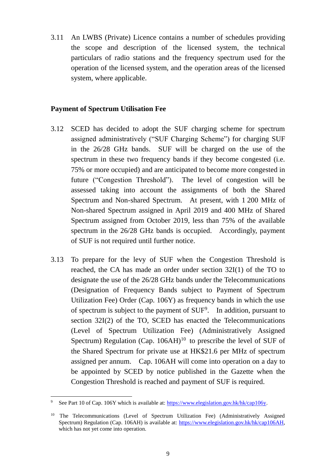3.11 An LWBS (Private) Licence contains a number of schedules providing the scope and description of the licensed system, the technical particulars of radio stations and the frequency spectrum used for the operation of the licensed system, and the operation areas of the licensed system, where applicable.

#### **Payment of Spectrum Utilisation Fee**

- 3.12 SCED has decided to adopt the SUF charging scheme for spectrum assigned administratively ("SUF Charging Scheme") for charging SUF in the 26/28 GHz bands. SUF will be charged on the use of the spectrum in these two frequency bands if they become congested (i.e. 75% or more occupied) and are anticipated to become more congested in future ("Congestion Threshold"). The level of congestion will be assessed taking into account the assignments of both the Shared Spectrum and Non-shared Spectrum. At present, with 1 200 MHz of Non-shared Spectrum assigned in April 2019 and 400 MHz of Shared Spectrum assigned from October 2019, less than 75% of the available spectrum in the 26/28 GHz bands is occupied. Accordingly, payment of SUF is not required until further notice.
- 3.13 To prepare for the levy of SUF when the Congestion Threshold is reached, the CA has made an order under section 32I(1) of the TO to designate the use of the 26/28 GHz bands under the Telecommunications (Designation of Frequency Bands subject to Payment of Spectrum Utilization Fee) Order (Cap. 106Y) as frequency bands in which the use of spectrum is subject to the payment of  $SUF<sup>9</sup>$ . In addition, pursuant to section 32I(2) of the TO, SCED has enacted the Telecommunications (Level of Spectrum Utilization Fee) (Administratively Assigned Spectrum) Regulation (Cap.  $106AH$ )<sup>10</sup> to prescribe the level of SUF of the Shared Spectrum for private use at HK\$21.6 per MHz of spectrum assigned per annum. Cap. 106AH will come into operation on a day to be appointed by SCED by notice published in the Gazette when the Congestion Threshold is reached and payment of SUF is required.

1

<sup>&</sup>lt;sup>9</sup> See Part 10 of Cap. 106Y which is available at[: https://www.elegislation.gov.hk/hk/cap106y.](https://www.elegislation.gov.hk/hk/cap106y)

<sup>&</sup>lt;sup>10</sup> The Telecommunications (Level of Spectrum Utilization Fee) (Administratively Assigned Spectrum) Regulation (Cap. 106AH) is available at: [https://www.elegislation.gov.hk/hk/cap106AH,](https://www.elegislation.gov.hk/hk/cap106AH) which has not yet come into operation.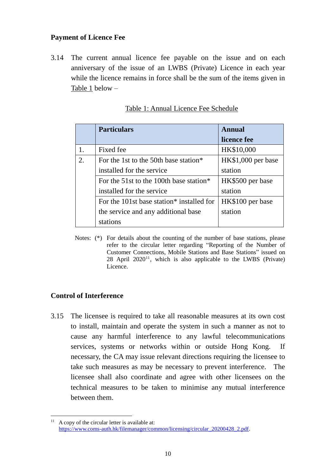#### **Payment of Licence Fee**

3.14 The current annual licence fee payable on the issue and on each anniversary of the issue of an LWBS (Private) Licence in each year while the licence remains in force shall be the sum of the items given in Table 1 below –

|    | <b>Particulars</b>                                    | Annual             |
|----|-------------------------------------------------------|--------------------|
|    |                                                       | licence fee        |
|    | Fixed fee                                             | HK\$10,000         |
| 2. | For the 1st to the 50th base station*                 | HK\$1,000 per base |
|    | installed for the service                             | station            |
|    | For the 51st to the 100th base station*               | HK\$500 per base   |
|    | installed for the service                             | station            |
|    | For the 101st base station <sup>*</sup> installed for | HK\$100 per base   |
|    | the service and any additional base                   | station            |
|    | stations                                              |                    |

Notes: (\*) For details about the counting of the number of base stations, please refer to the circular letter regarding "Reporting of the Number of Customer Connections, Mobile Stations and Base Stations" issued on  $28$  April  $2020<sup>11</sup>$ , which is also applicable to the LWBS (Private) Licence.

### **Control of Interference**

1

3.15 The licensee is required to take all reasonable measures at its own cost to install, maintain and operate the system in such a manner as not to cause any harmful interference to any lawful telecommunications services, systems or networks within or outside Hong Kong. If necessary, the CA may issue relevant directions requiring the licensee to take such measures as may be necessary to prevent interference. The licensee shall also coordinate and agree with other licensees on the technical measures to be taken to minimise any mutual interference between them.

 $11$  A copy of the circular letter is available at: [https://www.coms-auth.hk/filemanager/common/licensing/circular\\_20200428\\_2.pdf.](https://www.coms-auth.hk/filemanager/common/licensing/circular_20200428_2.pdf)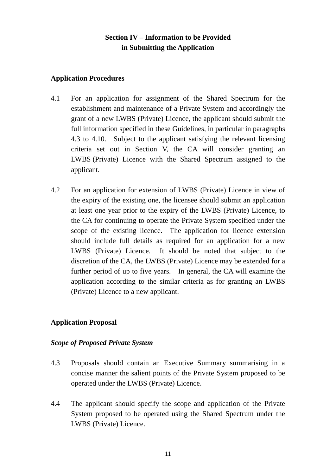## **Section IV – Information to be Provided in Submitting the Application**

### **Application Procedures**

- 4.1 For an application for assignment of the Shared Spectrum for the establishment and maintenance of a Private System and accordingly the grant of a new LWBS (Private) Licence, the applicant should submit the full information specified in these Guidelines, in particular in paragraphs [4.3](#page-10-0) to [4.10.](#page-12-0) Subject to the applicant satisfying the relevant licensing criteria set out in Section V, the CA will consider granting an LWBS (Private) Licence with the Shared Spectrum assigned to the applicant.
- 4.2 For an application for extension of LWBS (Private) Licence in view of the expiry of the existing one, the licensee should submit an application at least one year prior to the expiry of the LWBS (Private) Licence, to the CA for continuing to operate the Private System specified under the scope of the existing licence. The application for licence extension should include full details as required for an application for a new LWBS (Private) Licence. It should be noted that subject to the discretion of the CA, the LWBS (Private) Licence may be extended for a further period of up to five years. In general, the CA will examine the application according to the similar criteria as for granting an LWBS (Private) Licence to a new applicant.

## **Application Proposal**

### *Scope of Proposed Private System*

- <span id="page-10-0"></span>4.3 Proposals should contain an Executive Summary summarising in a concise manner the salient points of the Private System proposed to be operated under the LWBS (Private) Licence.
- 4.4 The applicant should specify the scope and application of the Private System proposed to be operated using the Shared Spectrum under the LWBS (Private) Licence.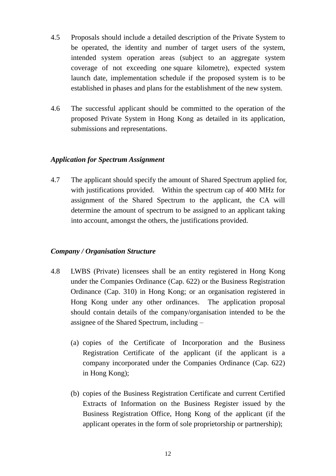- 4.5 Proposals should include a detailed description of the Private System to be operated, the identity and number of target users of the system, intended system operation areas (subject to an aggregate system coverage of not exceeding one square kilometre), expected system launch date, implementation schedule if the proposed system is to be established in phases and plans for the establishment of the new system.
- 4.6 The successful applicant should be committed to the operation of the proposed Private System in Hong Kong as detailed in its application, submissions and representations.

### *Application for Spectrum Assignment*

4.7 The applicant should specify the amount of Shared Spectrum applied for, with justifications provided. Within the spectrum cap of 400 MHz for assignment of the Shared Spectrum to the applicant, the CA will determine the amount of spectrum to be assigned to an applicant taking into account, amongst the others, the justifications provided.

#### *Company / Organisation Structure*

- 4.8 LWBS (Private) licensees shall be an entity registered in Hong Kong under the Companies Ordinance (Cap. 622) or the Business Registration Ordinance (Cap. 310) in Hong Kong; or an organisation registered in Hong Kong under any other ordinances. The application proposal should contain details of the company/organisation intended to be the assignee of the Shared Spectrum, including –
	- (a) copies of the Certificate of Incorporation and the Business Registration Certificate of the applicant (if the applicant is a company incorporated under the Companies Ordinance (Cap. 622) in Hong Kong);
	- (b) copies of the Business Registration Certificate and current Certified Extracts of Information on the Business Register issued by the Business Registration Office, Hong Kong of the applicant (if the applicant operates in the form of sole proprietorship or partnership);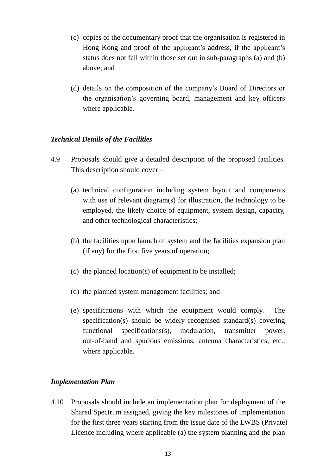- (c) copies of the documentary proof that the organisation is registered in Hong Kong and proof of the applicant's address, if the applicant's status does not fall within those set out in sub-paragraphs (a) and (b) above; and
- (d) details on the composition of the company's Board of Directors or the organisation's governing board, management and key officers where applicable.

#### *Technical Details of the Facilities*

- 4.9 Proposals should give a detailed description of the proposed facilities. This description should cover –
	- (a) technical configuration including system layout and components with use of relevant diagram(s) for illustration, the technology to be employed, the likely choice of equipment, system design, capacity, and other technological characteristics;
	- (b) the facilities upon launch of system and the facilities expansion plan (if any) for the first five years of operation;
	- (c) the planned location(s) of equipment to be installed;
	- (d) the planned system management facilities; and
	- (e) specifications with which the equipment would comply. The specification(s) should be widely recognised standard(s) covering functional specifications(s), modulation, transmitter power, out-of-band and spurious emissions, antenna characteristics, etc., where applicable.

#### *Implementation Plan*

<span id="page-12-0"></span>4.10 Proposals should include an implementation plan for deployment of the Shared Spectrum assigned, giving the key milestones of implementation for the first three years starting from the issue date of the LWBS (Private) Licence including where applicable (a) the system planning and the plan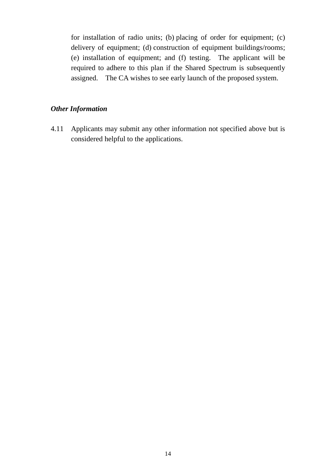for installation of radio units; (b) placing of order for equipment; (c) delivery of equipment; (d) construction of equipment buildings/rooms; (e) installation of equipment; and (f) testing. The applicant will be required to adhere to this plan if the Shared Spectrum is subsequently assigned. The CA wishes to see early launch of the proposed system.

## *Other Information*

4.11 Applicants may submit any other information not specified above but is considered helpful to the applications.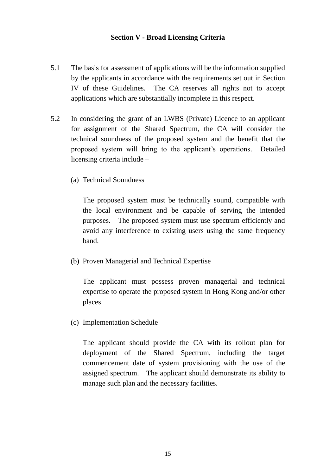#### **Section V - Broad Licensing Criteria**

- 5.1 The basis for assessment of applications will be the information supplied by the applicants in accordance with the requirements set out in Section IV of these Guidelines. The CA reserves all rights not to accept applications which are substantially incomplete in this respect.
- 5.2 In considering the grant of an LWBS (Private) Licence to an applicant for assignment of the Shared Spectrum, the CA will consider the technical soundness of the proposed system and the benefit that the proposed system will bring to the applicant's operations. Detailed licensing criteria include –
	- (a) Technical Soundness

The proposed system must be technically sound, compatible with the local environment and be capable of serving the intended purposes. The proposed system must use spectrum efficiently and avoid any interference to existing users using the same frequency band.

(b) Proven Managerial and Technical Expertise

The applicant must possess proven managerial and technical expertise to operate the proposed system in Hong Kong and/or other places.

(c) Implementation Schedule

The applicant should provide the CA with its rollout plan for deployment of the Shared Spectrum, including the target commencement date of system provisioning with the use of the assigned spectrum. The applicant should demonstrate its ability to manage such plan and the necessary facilities.